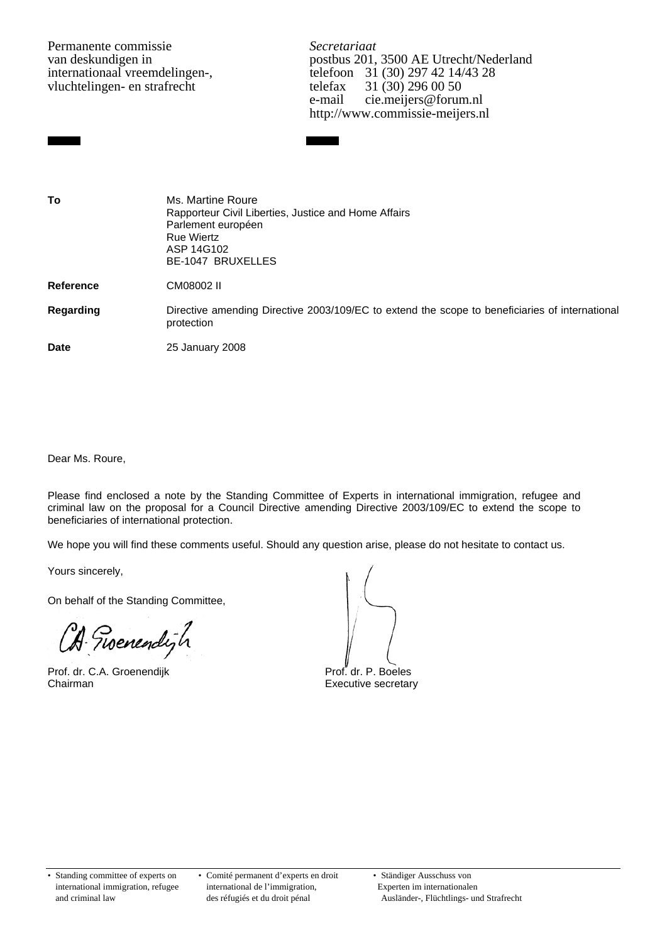Permanente commissie *Secretariaat*<br>van deskundigen in *Secretariaat*<br>postbus 201. vluchtelingen- en strafrecht telefax

van deskundigen in postbus 201, 3500 AE Utrecht/Nederland<br>internationaal vreemdelingen-, postbus 201, 3500 AE Utrecht/Nederland<br>telefoon 31 (30) 297 42 14/43 28 international 31 (30) 297 42 14/43 28<br>telefax 31 (30) 296 00 50 e-mail cie.meijers@forum.nl http://www.commissie-meijers.nl

**To** Ms. Martine Roure Rapporteur Civil Liberties, Justice and Home Affairs Parlement européen Rue Wiertz ASP 14G102 BE-1047 BRUXELLES

**Reference** CM08002 II

**Regarding** Directive amending Directive 2003/109/EC to extend the scope to beneficiaries of international protection

**Date** 25 January 2008

Dear Ms. Roure,

Please find enclosed a note by the Standing Committee of Experts in international immigration, refugee and criminal law on the proposal for a Council Directive amending Directive 2003/109/EC to extend the scope to beneficiaries of international protection.

We hope you will find these comments useful. Should any question arise, please do not hesitate to contact us.

Yours sincerely,

On behalf of the Standing Committee,

in a shekara

Prof. dr. C.A. Groenendijk Prof. dr. P. Boeles Chairman **Executive secretary** 

• Standing committee of experts on • Comité permanent d'experts en droit • Ständiger Ausschuss von international immigration, refugee international de l'immigration, Experten im internationalen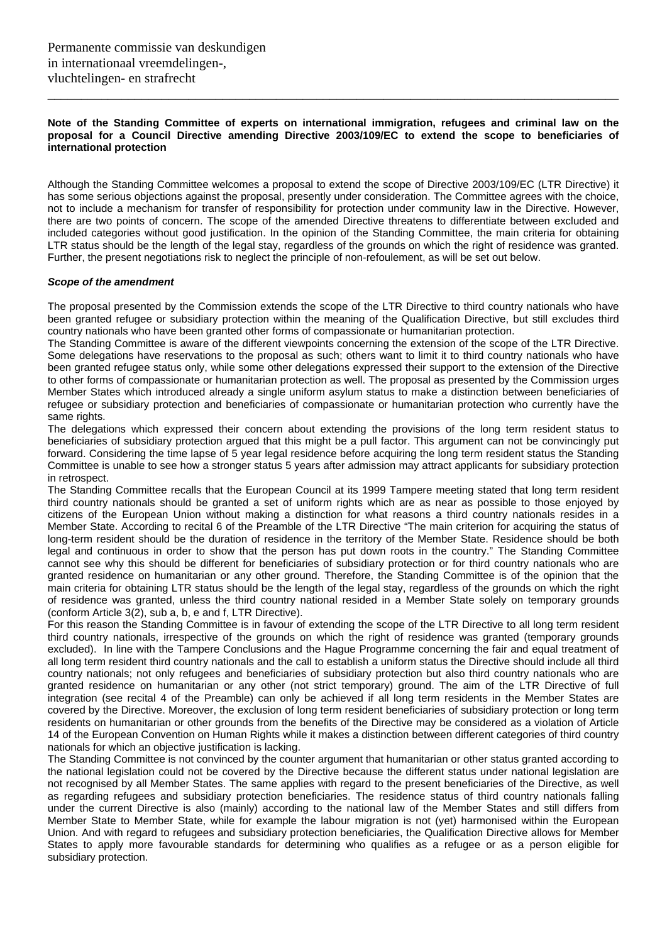### **Note of the Standing Committee of experts on international immigration, refugees and criminal law on the proposal for a Council Directive amending Directive 2003/109/EC to extend the scope to beneficiaries of international protection**

\_\_\_\_\_\_\_\_\_\_\_\_\_\_\_\_\_\_\_\_\_\_\_\_\_\_\_\_\_\_\_\_\_\_\_\_\_\_\_\_\_\_\_\_\_\_\_\_\_\_\_\_\_\_\_\_\_\_\_\_\_\_\_\_\_\_\_\_\_\_\_\_\_\_\_\_\_\_\_\_\_\_\_\_\_

Although the Standing Committee welcomes a proposal to extend the scope of Directive 2003/109/EC (LTR Directive) it has some serious objections against the proposal, presently under consideration. The Committee agrees with the choice, not to include a mechanism for transfer of responsibility for protection under community law in the Directive. However, there are two points of concern. The scope of the amended Directive threatens to differentiate between excluded and included categories without good justification. In the opinion of the Standing Committee, the main criteria for obtaining LTR status should be the length of the legal stay, regardless of the grounds on which the right of residence was granted. Further, the present negotiations risk to neglect the principle of non-refoulement, as will be set out below.

#### *Scope of the amendment*

The proposal presented by the Commission extends the scope of the LTR Directive to third country nationals who have been granted refugee or subsidiary protection within the meaning of the Qualification Directive, but still excludes third country nationals who have been granted other forms of compassionate or humanitarian protection.

The Standing Committee is aware of the different viewpoints concerning the extension of the scope of the LTR Directive. Some delegations have reservations to the proposal as such; others want to limit it to third country nationals who have been granted refugee status only, while some other delegations expressed their support to the extension of the Directive to other forms of compassionate or humanitarian protection as well. The proposal as presented by the Commission urges Member States which introduced already a single uniform asylum status to make a distinction between beneficiaries of refugee or subsidiary protection and beneficiaries of compassionate or humanitarian protection who currently have the same rights.

The delegations which expressed their concern about extending the provisions of the long term resident status to beneficiaries of subsidiary protection argued that this might be a pull factor. This argument can not be convincingly put forward. Considering the time lapse of 5 year legal residence before acquiring the long term resident status the Standing Committee is unable to see how a stronger status 5 years after admission may attract applicants for subsidiary protection in retrospect.

The Standing Committee recalls that the European Council at its 1999 Tampere meeting stated that long term resident third country nationals should be granted a set of uniform rights which are as near as possible to those enjoyed by citizens of the European Union without making a distinction for what reasons a third country nationals resides in a Member State. According to recital 6 of the Preamble of the LTR Directive "The main criterion for acquiring the status of long-term resident should be the duration of residence in the territory of the Member State. Residence should be both legal and continuous in order to show that the person has put down roots in the country." The Standing Committee cannot see why this should be different for beneficiaries of subsidiary protection or for third country nationals who are granted residence on humanitarian or any other ground. Therefore, the Standing Committee is of the opinion that the main criteria for obtaining LTR status should be the length of the legal stay, regardless of the grounds on which the right of residence was granted, unless the third country national resided in a Member State solely on temporary grounds (conform Article 3(2), sub a, b, e and f, LTR Directive).

For this reason the Standing Committee is in favour of extending the scope of the LTR Directive to all long term resident third country nationals, irrespective of the grounds on which the right of residence was granted (temporary grounds excluded). In line with the Tampere Conclusions and the Hague Programme concerning the fair and equal treatment of all long term resident third country nationals and the call to establish a uniform status the Directive should include all third country nationals; not only refugees and beneficiaries of subsidiary protection but also third country nationals who are granted residence on humanitarian or any other (not strict temporary) ground. The aim of the LTR Directive of full integration (see recital 4 of the Preamble) can only be achieved if all long term residents in the Member States are covered by the Directive. Moreover, the exclusion of long term resident beneficiaries of subsidiary protection or long term residents on humanitarian or other grounds from the benefits of the Directive may be considered as a violation of Article 14 of the European Convention on Human Rights while it makes a distinction between different categories of third country nationals for which an objective justification is lacking.

The Standing Committee is not convinced by the counter argument that humanitarian or other status granted according to the national legislation could not be covered by the Directive because the different status under national legislation are not recognised by all Member States. The same applies with regard to the present beneficiaries of the Directive, as well as regarding refugees and subsidiary protection beneficiaries. The residence status of third country nationals falling under the current Directive is also (mainly) according to the national law of the Member States and still differs from Member State to Member State, while for example the labour migration is not (yet) harmonised within the European Union. And with regard to refugees and subsidiary protection beneficiaries, the Qualification Directive allows for Member States to apply more favourable standards for determining who qualifies as a refugee or as a person eligible for subsidiary protection.